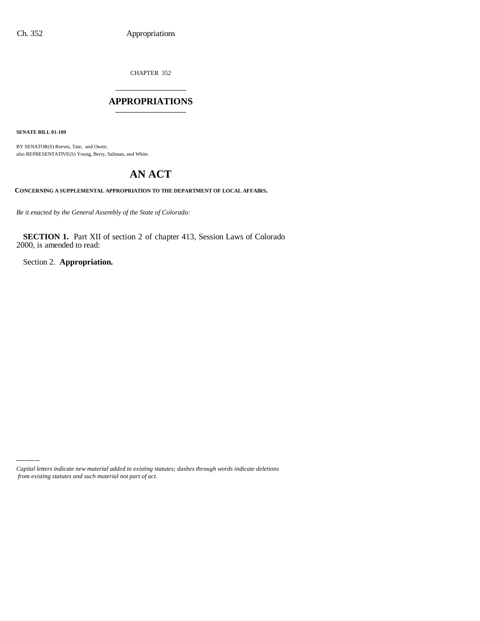CHAPTER 352 \_\_\_\_\_\_\_\_\_\_\_\_\_\_\_

#### **APPROPRIATIONS** \_\_\_\_\_\_\_\_\_\_\_\_\_\_\_

**SENATE BILL 01-189**

BY SENATOR(S) Reeves, Tate, and Owen; also REPRESENTATIVE(S) Young, Berry, Saliman, and White.

# **AN ACT**

**CONCERNING A SUPPLEMENTAL APPROPRIATION TO THE DEPARTMENT OF LOCAL AFFAIRS.**

*Be it enacted by the General Assembly of the State of Colorado:*

**SECTION 1.** Part XII of section 2 of chapter 413, Session Laws of Colorado 2000, is amended to read:

Section 2. **Appropriation.**

*Capital letters indicate new material added to existing statutes; dashes through words indicate deletions from existing statutes and such material not part of act.*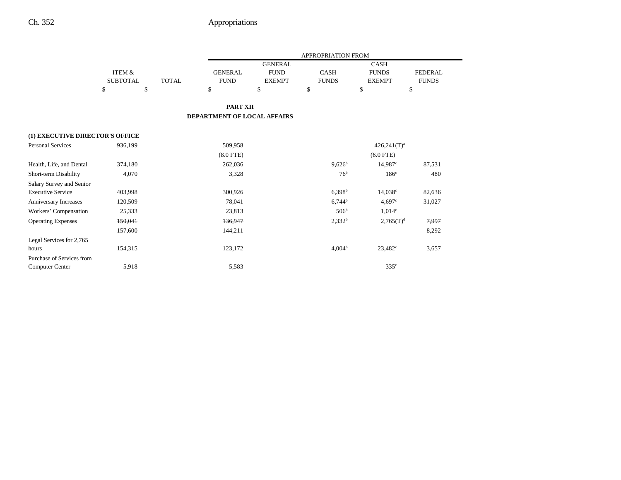|                                 |                 |              | <b>APPROPRIATION FROM</b>          |                |                    |                    |                  |
|---------------------------------|-----------------|--------------|------------------------------------|----------------|--------------------|--------------------|------------------|
|                                 |                 |              |                                    | <b>GENERAL</b> |                    | <b>CASH</b>        |                  |
|                                 | ITEM &          |              | <b>GENERAL</b>                     | <b>FUND</b>    | <b>CASH</b>        | <b>FUNDS</b>       | <b>FEDERAL</b>   |
|                                 | <b>SUBTOTAL</b> | <b>TOTAL</b> | <b>FUND</b>                        | <b>EXEMPT</b>  | <b>FUNDS</b>       | <b>EXEMPT</b>      | <b>FUNDS</b>     |
|                                 | \$<br>\$        |              | \$                                 | \$             | \$                 | \$                 | \$               |
|                                 |                 |              | <b>PART XII</b>                    |                |                    |                    |                  |
|                                 |                 |              | <b>DEPARTMENT OF LOCAL AFFAIRS</b> |                |                    |                    |                  |
| (1) EXECUTIVE DIRECTOR'S OFFICE |                 |              |                                    |                |                    |                    |                  |
| <b>Personal Services</b>        | 936,199         |              | 509,958                            |                |                    | $426,241(T)^a$     |                  |
|                                 |                 |              | $(8.0$ FTE)                        |                |                    | $(6.0$ FTE)        |                  |
| Health, Life, and Dental        | 374,180         |              | 262,036                            |                | $9,626^b$          | 14.987c            | 87,531           |
| Short-term Disability           | 4,070           |              | 3,328                              |                | 76 <sup>b</sup>    | 186 <sup>c</sup>   | 480              |
| Salary Survey and Senior        |                 |              |                                    |                |                    |                    |                  |
| <b>Executive Service</b>        | 403,998         |              | 300,926                            |                | $6,398^{\rm b}$    | $14,038^{\circ}$   | 82,636           |
| Anniversary Increases           | 120,509         |              | 78,041                             |                | $6,744^b$          | 4.697c             | 31,027           |
| Workers' Compensation           | 25,333          |              | 23,813                             |                | 506 <sup>b</sup>   | 1.014 <sup>c</sup> |                  |
| <b>Operating Expenses</b>       | 150,041         |              | 136,947                            |                | $2,332^b$          | $2,765(T)^{d}$     | <del>7,997</del> |
|                                 | 157,600         |              | 144,211                            |                |                    |                    | 8,292            |
| Legal Services for 2,765        |                 |              |                                    |                |                    |                    |                  |
| hours                           | 154,315         |              | 123,172                            |                | 4,004 <sup>b</sup> | $23,482^{\circ}$   | 3,657            |
| Purchase of Services from       |                 |              |                                    |                |                    |                    |                  |
| Computer Center                 | 5,918           |              | 5,583                              |                |                    | $335^{\circ}$      |                  |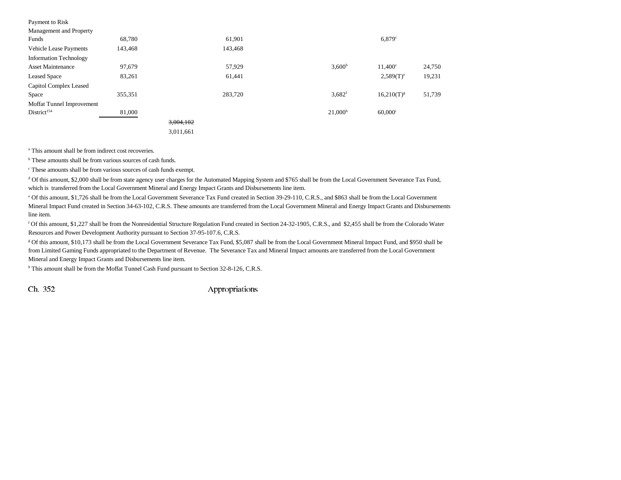| Payment to Risk               |         |           |         |                      |                       |        |
|-------------------------------|---------|-----------|---------|----------------------|-----------------------|--------|
| Management and Property       |         |           |         |                      |                       |        |
| Funds                         | 68,780  |           | 61,901  |                      | $6,879$ <sup>c</sup>  |        |
| Vehicle Lease Payments        | 143,468 |           | 143,468 |                      |                       |        |
| <b>Information Technology</b> |         |           |         |                      |                       |        |
| <b>Asset Maintenance</b>      | 97,679  |           | 57,929  | 3,600 <sup>b</sup>   | $11,400^{\circ}$      | 24,750 |
| <b>Leased Space</b>           | 83,261  |           | 61,441  |                      | $2,589(T)^e$          | 19,231 |
| Capitol Complex Leased        |         |           |         |                      |                       |        |
| Space                         | 355,351 |           | 283,720 | $3,682$ <sup>f</sup> | $16,210(T)^{g}$       | 51,739 |
| Moffat Tunnel Improvement     |         |           |         |                      |                       |        |
| District <sup>154</sup>       | 81,000  |           |         | 21,000 <sup>h</sup>  | $60,000$ <sup>i</sup> |        |
|                               |         | 3,004,102 |         |                      |                       |        |
|                               |         | 3,011,661 |         |                      |                       |        |

<sup>a</sup> This amount shall be from indirect cost recoveries.

<sup>b</sup> These amounts shall be from various sources of cash funds.

c These amounts shall be from various sources of cash funds exempt.

d Of this amount, \$2,000 shall be from state agency user charges for the Automated Mapping System and \$765 shall be from the Local Government Severance Tax Fund, which is transferred from the Local Government Mineral and Energy Impact Grants and Disbursements line item.

e Of this amount, \$1,726 shall be from the Local Government Severance Tax Fund created in Section 39-29-110, C.R.S., and \$863 shall be from the Local Government Mineral Impact Fund created in Section 34-63-102, C.R.S. These amounts are transferred from the Local Government Mineral and Energy Impact Grants and Disbursements line item.

f Of this amount, \$1,227 shall be from the Nonresidential Structure Regulation Fund created in Section 24-32-1905, C.R.S., and \$2,455 shall be from the Colorado Water Resources and Power Development Authority pursuant to Section 37-95-107.6, C.R.S.

g Of this amount, \$10,173 shall be from the Local Government Severance Tax Fund, \$5,087 shall be from the Local Government Mineral Impact Fund, and \$950 shall be from Limited Gaming Funds appropriated to the Department of Revenue. The Severance Tax and Mineral Impact amounts are transferred from the Local Government Mineral and Energy Impact Grants and Disbursements line item.

h This amount shall be from the Moffat Tunnel Cash Fund pursuant to Section 32-8-126, C.R.S.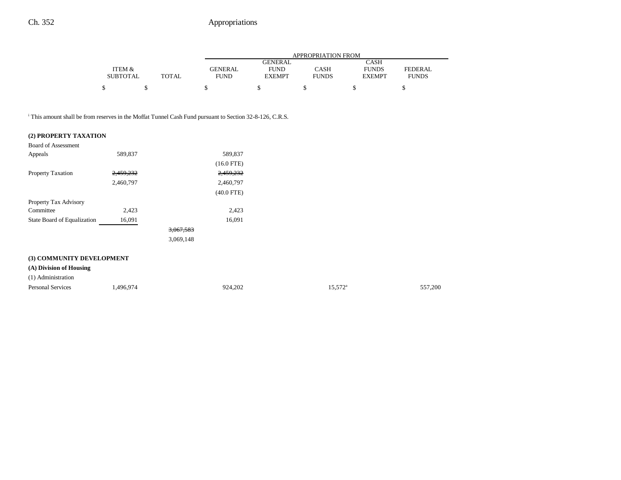|                 |              |                | APPROPRIATION FROM |              |               |              |  |  |
|-----------------|--------------|----------------|--------------------|--------------|---------------|--------------|--|--|
|                 |              |                | <b>GENERAL</b>     |              | <b>CASH</b>   |              |  |  |
| ITEM &          |              | <b>GENERAL</b> | <b>FUND</b>        | <b>CASH</b>  | <b>FUNDS</b>  | FEDERAL      |  |  |
| <b>SUBTOTAL</b> | <b>TOTAL</b> | <b>FUND</b>    | <b>EXEMPT</b>      | <b>FUNDS</b> | <b>EXEMPT</b> | <b>FUNDS</b> |  |  |
|                 |              |                |                    |              |               |              |  |  |
|                 |              |                |                    |              |               |              |  |  |

<sup>i</sup> This amount shall be from reserves in the Moffat Tunnel Cash Fund pursuant to Section 32-8-126, C.R.S.

#### **(2) PROPERTY TAXATION**

| <b>Board of Assessment</b>  |           |              |                  |         |
|-----------------------------|-----------|--------------|------------------|---------|
| Appeals                     | 589,837   | 589,837      |                  |         |
|                             |           | $(16.0$ FTE) |                  |         |
| Property Taxation           | 2,459,232 | 2,459,232    |                  |         |
|                             | 2,460,797 | 2,460,797    |                  |         |
|                             |           | $(40.0$ FTE) |                  |         |
| Property Tax Advisory       |           |              |                  |         |
| Committee                   | 2,423     | 2,423        |                  |         |
| State Board of Equalization | 16,091    | 16,091       |                  |         |
|                             |           | 3,067,583    |                  |         |
|                             |           | 3,069,148    |                  |         |
| (3) COMMUNITY DEVELOPMENT   |           |              |                  |         |
| (A) Division of Housing     |           |              |                  |         |
| (1) Administration          |           |              |                  |         |
| Personal Services           | 1,496,974 | 924,202      | $15,572^{\rm a}$ | 557,200 |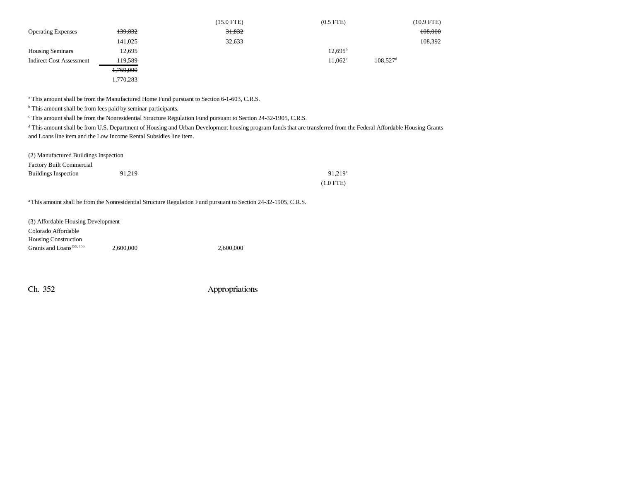|                                 |                    | $(15.0$ FTE) | $(0.5$ FTE $)$   | (10.9 FTE)             |
|---------------------------------|--------------------|--------------|------------------|------------------------|
| <b>Operating Expenses</b>       | <del>139,832</del> | 31,832       |                  | 108,000                |
|                                 | 141,025            | 32,633       |                  | 108,392                |
| <b>Housing Seminars</b>         | 12,695             |              | $12,695^{\rm b}$ |                        |
| <b>Indirect Cost Assessment</b> | 119,589            |              | $11,062^{\circ}$ | $108.527$ <sup>d</sup> |
|                                 | 1,769,090          |              |                  |                        |
|                                 | 1.770.283          |              |                  |                        |

<sup>a</sup> This amount shall be from the Manufactured Home Fund pursuant to Section 6-1-603, C.R.S.

<sup>b</sup> This amount shall be from fees paid by seminar participants.

c This amount shall be from the Nonresidential Structure Regulation Fund pursuant to Section 24-32-1905, C.R.S.

<sup>d</sup> This amount shall be from U.S. Department of Housing and Urban Development housing program funds that are transferred from the Federal Affordable Housing Grants and Loans line item and the Low Income Rental Subsidies line item.

| (2) Manufactured Buildings Inspection |        |                       |
|---------------------------------------|--------|-----------------------|
| <b>Factory Built Commercial</b>       |        |                       |
| <b>Buildings Inspection</b>           | 91.219 | $91.219$ <sup>a</sup> |
|                                       |        | $(1.0$ FTE)           |

a This amount shall be from the Nonresidential Structure Regulation Fund pursuant to Section 24-32-1905, C.R.S.

| (3) Affordable Housing Development   |           |  |  |  |  |  |
|--------------------------------------|-----------|--|--|--|--|--|
| Colorado Affordable                  |           |  |  |  |  |  |
| <b>Housing Construction</b>          |           |  |  |  |  |  |
| Grants and Loans <sup>155, 156</sup> | 2.600,000 |  |  |  |  |  |

 $2,600,000$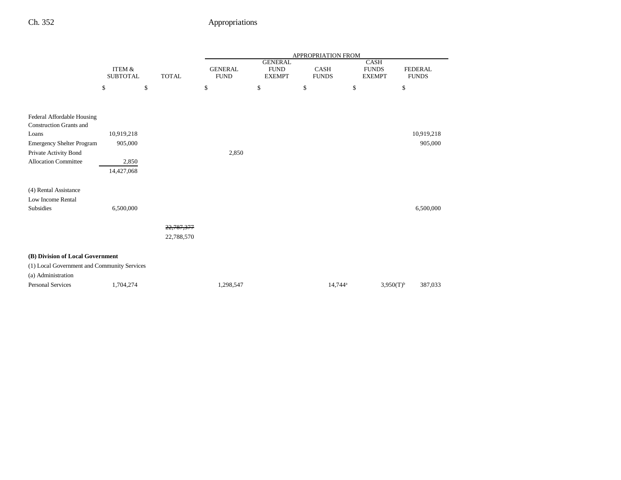|                                                              |                                      |              |                               |                                                | <b>APPROPRIATION FROM</b>   |                                              |                                |
|--------------------------------------------------------------|--------------------------------------|--------------|-------------------------------|------------------------------------------------|-----------------------------|----------------------------------------------|--------------------------------|
|                                                              | <b>ITEM &amp;</b><br><b>SUBTOTAL</b> | <b>TOTAL</b> | <b>GENERAL</b><br><b>FUND</b> | <b>GENERAL</b><br><b>FUND</b><br><b>EXEMPT</b> | <b>CASH</b><br><b>FUNDS</b> | <b>CASH</b><br><b>FUNDS</b><br><b>EXEMPT</b> | <b>FEDERAL</b><br><b>FUNDS</b> |
|                                                              | \$                                   | \$           | \$                            | \$                                             | \$                          | \$                                           | $\mathbb{S}$                   |
|                                                              |                                      |              |                               |                                                |                             |                                              |                                |
| Federal Affordable Housing<br><b>Construction Grants and</b> |                                      |              |                               |                                                |                             |                                              |                                |
| Loans                                                        | 10,919,218                           |              |                               |                                                |                             |                                              | 10,919,218                     |
| <b>Emergency Shelter Program</b>                             | 905,000                              |              |                               |                                                |                             |                                              | 905,000                        |
| Private Activity Bond                                        |                                      |              | 2,850                         |                                                |                             |                                              |                                |
| <b>Allocation Committee</b>                                  | 2,850                                |              |                               |                                                |                             |                                              |                                |
|                                                              | 14,427,068                           |              |                               |                                                |                             |                                              |                                |
| (4) Rental Assistance                                        |                                      |              |                               |                                                |                             |                                              |                                |
| Low Income Rental                                            |                                      |              |                               |                                                |                             |                                              |                                |
| <b>Subsidies</b>                                             | 6,500,000                            |              |                               |                                                |                             |                                              | 6,500,000                      |
|                                                              |                                      |              |                               |                                                |                             |                                              |                                |
|                                                              |                                      | 22,787,377   |                               |                                                |                             |                                              |                                |
|                                                              |                                      | 22,788,570   |                               |                                                |                             |                                              |                                |
|                                                              |                                      |              |                               |                                                |                             |                                              |                                |
| (B) Division of Local Government                             |                                      |              |                               |                                                |                             |                                              |                                |
| (1) Local Government and Community Services                  |                                      |              |                               |                                                |                             |                                              |                                |
| (a) Administration                                           |                                      |              |                               |                                                |                             |                                              |                                |
| <b>Personal Services</b>                                     | 1,704,274                            |              | 1,298,547                     |                                                | 14,744 <sup>a</sup>         |                                              | $3,950(T)^{b}$<br>387,033      |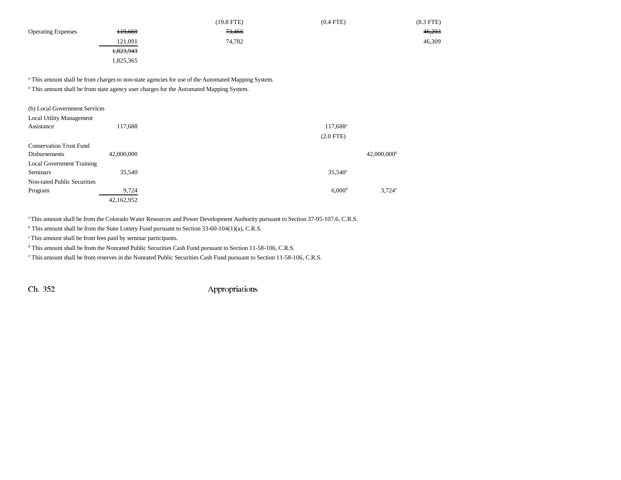|                           |                    | $(19.8$ FTE) | $(0.4$ FTE $)$ | $(8.3$ FTE $)$ |
|---------------------------|--------------------|--------------|----------------|----------------|
| <b>Operating Expenses</b> | <del>119,669</del> | 73,466       |                | 46,203         |
|                           | 121,091            | 74,782       |                | 46,309         |
|                           | 1,823,943          |              |                |                |
|                           | 1,825,365          |              |                |                |

<sup>a</sup> This amount shall be from charges to non-state agencies for use of the Automated Mapping System.

<sup>b</sup> This amount shall be from state agency user charges for the Automated Mapping System.

| (b) Local Government Services    |            |                      |                           |
|----------------------------------|------------|----------------------|---------------------------|
| <b>Local Utility Management</b>  |            |                      |                           |
| Assistance                       | 117,688    | $117,688^{\rm a}$    |                           |
|                                  |            | $(2.0$ FTE $)$       |                           |
| <b>Conservation Trust Fund</b>   |            |                      |                           |
| <b>Disbursements</b>             | 42,000,000 |                      | $42,000,000$ <sup>b</sup> |
| <b>Local Government Training</b> |            |                      |                           |
| <b>Seminars</b>                  | 35,540     | $35,540^{\circ}$     |                           |
| Non-rated Public Securities      |            |                      |                           |
| Program                          | 9,724      | $6,000$ <sup>d</sup> | $3,724^e$                 |
|                                  | 42,162,952 |                      |                           |

a This amount shall be from the Colorado Water Resources and Power Development Authority pursuant to Section 37-95-107.6, C.R.S.

<sup>b</sup> This amount shall be from the State Lottery Fund pursuant to Section 33-60-104(1)(a), C.R.S.

c This amount shall be from fees paid by seminar participants.

d This amount shall be from the Nonrated Public Securities Cash Fund pursuant to Section 11-58-106, C.R.S.

e This amount shall be from reserves in the Nonrated Public Securities Cash Fund pursuant to Section 11-58-106, C.R.S.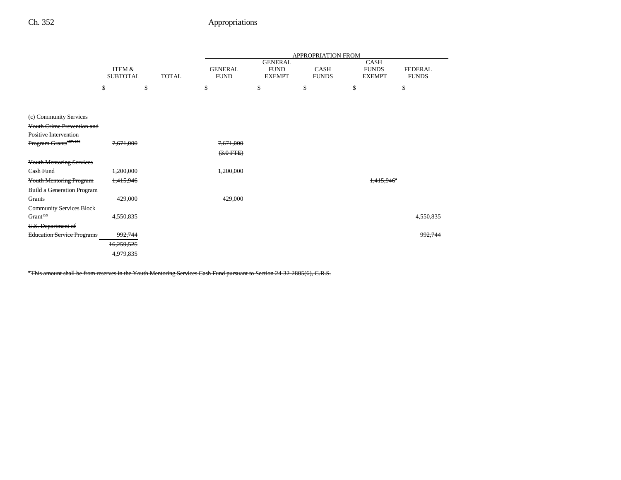|                                    |                           |              | <b>APPROPRIATION FROM</b>     |                                                |                             |                                              |                                |
|------------------------------------|---------------------------|--------------|-------------------------------|------------------------------------------------|-----------------------------|----------------------------------------------|--------------------------------|
|                                    | ITEM &<br><b>SUBTOTAL</b> | <b>TOTAL</b> | <b>GENERAL</b><br><b>FUND</b> | <b>GENERAL</b><br><b>FUND</b><br><b>EXEMPT</b> | <b>CASH</b><br><b>FUNDS</b> | <b>CASH</b><br><b>FUNDS</b><br><b>EXEMPT</b> | <b>FEDERAL</b><br><b>FUNDS</b> |
|                                    | \$                        | \$           | \$                            | \$                                             | \$                          | \$                                           | \$                             |
| (c) Community Services             |                           |              |                               |                                                |                             |                                              |                                |
| <b>Youth Crime Prevention and</b>  |                           |              |                               |                                                |                             |                                              |                                |
| Positive Intervention              |                           |              |                               |                                                |                             |                                              |                                |
| Program Grants <sup>157, 158</sup> | 7,671,000                 |              | 7,671,000                     |                                                |                             |                                              |                                |
|                                    |                           |              | $(3.0$ FTE $)$                |                                                |                             |                                              |                                |
| <b>Youth Mentoring Services</b>    |                           |              |                               |                                                |                             |                                              |                                |
| Cash Fund                          | 1,200,000                 |              | 1,200,000                     |                                                |                             |                                              |                                |
| <b>Youth Mentoring Program</b>     | 1,415,946                 |              |                               |                                                |                             | 1.415.946                                    |                                |
| Build a Generation Program         |                           |              |                               |                                                |                             |                                              |                                |
| Grants                             | 429,000                   |              | 429,000                       |                                                |                             |                                              |                                |
| <b>Community Services Block</b>    |                           |              |                               |                                                |                             |                                              |                                |
| Grant <sup>159</sup>               | 4,550,835                 |              |                               |                                                |                             |                                              | 4,550,835                      |
| U.S. Department of                 |                           |              |                               |                                                |                             |                                              |                                |
| <b>Education Service Programs</b>  | 992,744                   |              |                               |                                                |                             |                                              | 992,744                        |
|                                    | 16,259,525                |              |                               |                                                |                             |                                              |                                |
|                                    | 4,979,835                 |              |                               |                                                |                             |                                              |                                |

a This amount shall be from reserves in the Youth Mentoring Services Cash Fund pursuant to Section 24-32-2805(6), C.R.S.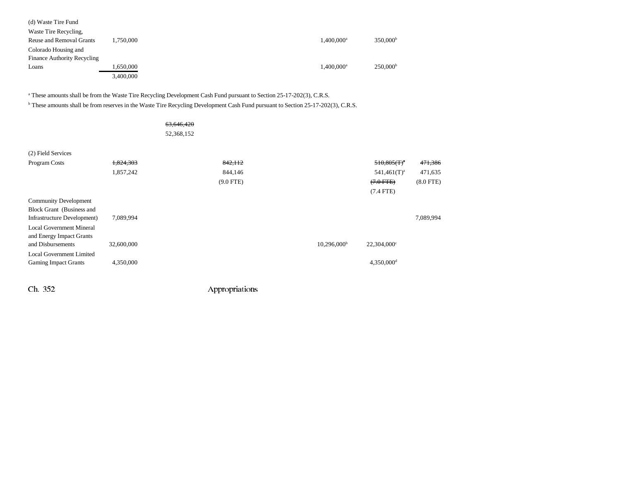| (d) Waste Tire Fund                |           |                          |                      |
|------------------------------------|-----------|--------------------------|----------------------|
| Waste Tire Recycling,              |           |                          |                      |
| Reuse and Removal Grants           | 1.750.000 | $1.400.000$ <sup>a</sup> | 350,000 <sup>b</sup> |
| Colorado Housing and               |           |                          |                      |
| <b>Finance Authority Recycling</b> |           |                          |                      |
| Loans                              | 1,650,000 | $1,400,000$ <sup>a</sup> | 250,000 <sup>b</sup> |
|                                    | 3,400,000 |                          |                      |

<sup>a</sup> These amounts shall be from the Waste Tire Recycling Development Cash Fund pursuant to Section 25-17-202(3), C.R.S.

b These amounts shall be from reserves in the Waste Tire Recycling Development Cash Fund pursuant to Section 25-17-202(3), C.R.S.

|                                 |            | 63,646,420<br>52,368,152 |             |                         |                        |             |
|---------------------------------|------------|--------------------------|-------------|-------------------------|------------------------|-------------|
| (2) Field Services              |            |                          |             |                         |                        |             |
| Program Costs                   | 1,824,303  |                          | 842, 112    |                         | $510,805(T)^{a}$       | 471,386     |
|                                 | 1,857,242  |                          | 844,146     |                         | $541,461(T)^a$         | 471,635     |
|                                 |            |                          | $(9.0$ FTE) |                         | $(7.0$ FTE)            | $(8.0$ FTE) |
|                                 |            |                          |             |                         | $(7.4$ FTE)            |             |
| <b>Community Development</b>    |            |                          |             |                         |                        |             |
| Block Grant (Business and       |            |                          |             |                         |                        |             |
| Infrastructure Development)     | 7,089,994  |                          |             |                         |                        | 7,089,994   |
| <b>Local Government Mineral</b> |            |                          |             |                         |                        |             |
| and Energy Impact Grants        |            |                          |             |                         |                        |             |
| and Disbursements               | 32,600,000 |                          |             | 10,296,000 <sup>b</sup> | $22,304,000^{\circ}$   |             |
| <b>Local Government Limited</b> |            |                          |             |                         |                        |             |
| <b>Gaming Impact Grants</b>     | 4,350,000  |                          |             |                         | 4,350,000 <sup>d</sup> |             |
|                                 |            |                          |             |                         |                        |             |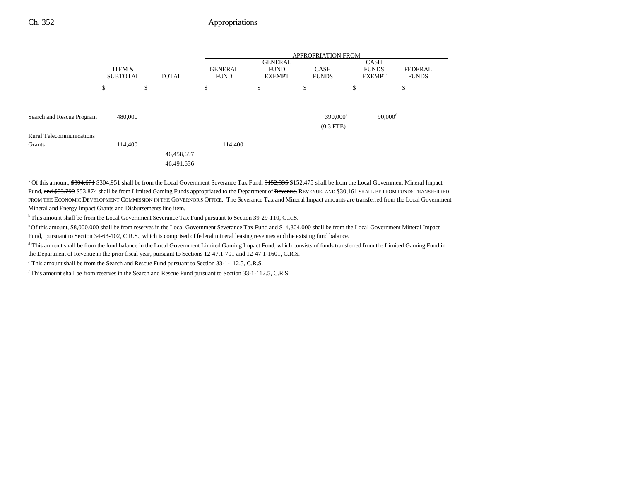|                                 |                           |              | <b>APPROPRIATION FROM</b>     |                                                |                             |                                              |                                |  |  |
|---------------------------------|---------------------------|--------------|-------------------------------|------------------------------------------------|-----------------------------|----------------------------------------------|--------------------------------|--|--|
|                                 | ITEM &<br><b>SUBTOTAL</b> | <b>TOTAL</b> | <b>GENERAL</b><br><b>FUND</b> | <b>GENERAL</b><br><b>FUND</b><br><b>EXEMPT</b> | <b>CASH</b><br><b>FUNDS</b> | <b>CASH</b><br><b>FUNDS</b><br><b>EXEMPT</b> | <b>FEDERAL</b><br><b>FUNDS</b> |  |  |
|                                 | \$                        | \$           | \$                            | \$                                             | S                           | \$                                           | \$                             |  |  |
| Search and Rescue Program       | 480,000                   |              |                               |                                                | 390,000 <sup>e</sup>        | $90,000$ <sup>f</sup>                        |                                |  |  |
| <b>Rural Telecommunications</b> |                           |              |                               |                                                | $(0.3$ FTE $)$              |                                              |                                |  |  |
| Grants                          | 114,400                   | 46,458,697   | 114,400                       |                                                |                             |                                              |                                |  |  |
|                                 |                           | 46,491,636   |                               |                                                |                             |                                              |                                |  |  |

<sup>a</sup> Of this amount, \$304,671 \$304,951 shall be from the Local Government Severance Tax Fund, \$152,335 \$152,475 shall be from the Local Government Mineral Impact Fund, and \$53,799 \$53,874 shall be from Limited Gaming Funds appropriated to the Department of Revenue. REVENUE, AND \$30,161 SHALL BE FROM FUNDS TRANSFERRED FROM THE ECONOMIC DEVELOPMENT COMMISSION IN THE GOVERNOR'S OFFICE. The Severance Tax and Mineral Impact amounts are transferred from the Local Government Mineral and Energy Impact Grants and Disbursements line item.

<sup>b</sup> This amount shall be from the Local Government Severance Tax Fund pursuant to Section 39-29-110, C.R.S.

c Of this amount, \$8,000,000 shall be from reserves in the Local Government Severance Tax Fund and \$14,304,000 shall be from the Local Government Mineral Impact Fund, pursuant to Section 34-63-102, C.R.S., which is comprised of federal mineral leasing revenues and the existing fund balance.

<sup>d</sup> This amount shall be from the fund balance in the Local Government Limited Gaming Impact Fund, which consists of funds transferred from the Limited Gaming Fund in the Department of Revenue in the prior fiscal year, pursuant to Sections 12-47.1-701 and 12-47.1-1601, C.R.S.

e This amount shall be from the Search and Rescue Fund pursuant to Section 33-1-112.5, C.R.S.

f This amount shall be from reserves in the Search and Rescue Fund pursuant to Section 33-1-112.5, C.R.S.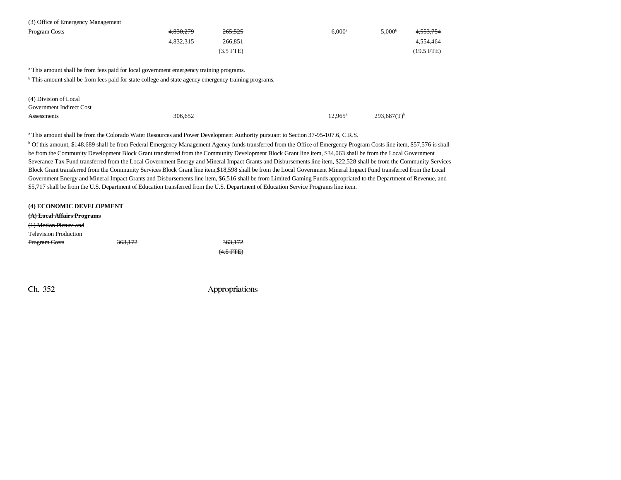| (3) Office of Emergency Management |           |             |                    |                    |              |
|------------------------------------|-----------|-------------|--------------------|--------------------|--------------|
| Program Costs                      | 4.830.279 | 265,525     | 6.000 <sup>a</sup> | 5.000 <sup>b</sup> | 4,553,754    |
|                                    | 4.832.315 | 266.851     |                    |                    | 4.554.464    |
|                                    |           | $(3.5$ FTE) |                    |                    | $(19.5$ FTE) |

<sup>a</sup> This amount shall be from fees paid for local government emergency training programs.

 $\overline{b}$  This amount shall be from fees paid for state college and state agency emergency training programs.

| (4) Division of Local    |         |                  |                           |
|--------------------------|---------|------------------|---------------------------|
| Government Indirect Cost |         |                  |                           |
| Assessments              | 306.652 | $12.965^{\rm a}$ | $293.687(T)$ <sup>b</sup> |

a This amount shall be from the Colorado Water Resources and Power Development Authority pursuant to Section 37-95-107.6, C.R.S.

b Of this amount, \$148,689 shall be from Federal Emergency Management Agency funds transferred from the Office of Emergency Program Costs line item, \$57,576 is shall be from the Community Development Block Grant transferred from the Community Development Block Grant line item, \$34,063 shall be from the Local Government Severance Tax Fund transferred from the Local Government Energy and Mineral Impact Grants and Disbursements line item, \$22,528 shall be from the Community Services Block Grant transferred from the Community Services Block Grant line item,\$18,598 shall be from the Local Government Mineral Impact Fund transferred from the Local Government Energy and Mineral Impact Grants and Disbursements line item, \$6,516 shall be from Limited Gaming Funds appropriated to the Department of Revenue, and \$5,717 shall be from the U.S. Department of Education transferred from the U.S. Department of Education Service Programs line item.

#### **(4) ECONOMIC DEVELOPMENT (A) Local Affairs Programs** (1) Motion Picture and Television ProductionProgram Costs 363,172 363,172  $(4.5$  FTE $)$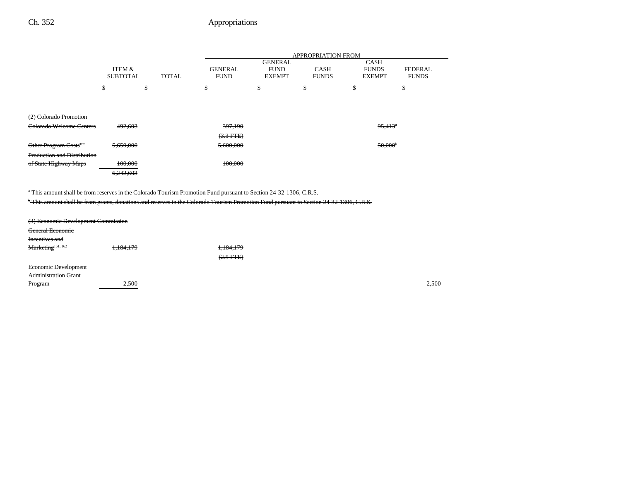|                                                                                                                                                                                                                                                              |                           |              |                               |                                                | <b>APPROPRIATION FROM</b>   |                                              |                                |  |
|--------------------------------------------------------------------------------------------------------------------------------------------------------------------------------------------------------------------------------------------------------------|---------------------------|--------------|-------------------------------|------------------------------------------------|-----------------------------|----------------------------------------------|--------------------------------|--|
|                                                                                                                                                                                                                                                              | ITEM &<br><b>SUBTOTAL</b> | <b>TOTAL</b> | <b>GENERAL</b><br><b>FUND</b> | <b>GENERAL</b><br><b>FUND</b><br><b>EXEMPT</b> | <b>CASH</b><br><b>FUNDS</b> | <b>CASH</b><br><b>FUNDS</b><br><b>EXEMPT</b> | <b>FEDERAL</b><br><b>FUNDS</b> |  |
|                                                                                                                                                                                                                                                              | \$<br>\$                  |              | \$                            | \$                                             | \$                          | \$                                           | \$                             |  |
| (2) Colorado Promotion                                                                                                                                                                                                                                       |                           |              |                               |                                                |                             |                                              |                                |  |
| <b>Colorado Welcome Centers</b>                                                                                                                                                                                                                              | 492,603                   |              | 397,190                       |                                                |                             | $95,413$ <sup>*</sup>                        |                                |  |
|                                                                                                                                                                                                                                                              |                           |              | $(3.3$ FTE $)$                |                                                |                             |                                              |                                |  |
| Other Program Costs <sup>160</sup>                                                                                                                                                                                                                           | 5,650,000                 | 5,600,000    |                               |                                                |                             |                                              | 50,000 <sup>b</sup>            |  |
| <b>Production and Distribution</b>                                                                                                                                                                                                                           |                           |              |                               |                                                |                             |                                              |                                |  |
| of State Highway Maps                                                                                                                                                                                                                                        | 100,000                   |              | 100,000                       |                                                |                             |                                              |                                |  |
|                                                                                                                                                                                                                                                              | 6,242,603                 |              |                               |                                                |                             |                                              |                                |  |
| "This amount shall be from reserves in the Colorado Tourism Promotion Fund pursuant to Section 24 32 1306, C.R.S.<br>*This amount shall be from grants, donations and reserves in the Colorado Tourism Promotion Fund pursuant to Section 24 32 1306, C.R.S. |                           |              |                               |                                                |                             |                                              |                                |  |
| (3) Economic Development Commission                                                                                                                                                                                                                          |                           |              |                               |                                                |                             |                                              |                                |  |
| <b>General Economic</b>                                                                                                                                                                                                                                      |                           |              |                               |                                                |                             |                                              |                                |  |
| Incentives and                                                                                                                                                                                                                                               |                           |              |                               |                                                |                             |                                              |                                |  |
| Marketing <sup>161, 162</sup>                                                                                                                                                                                                                                | 1,184,179                 |              | 1,184,179                     |                                                |                             |                                              |                                |  |
|                                                                                                                                                                                                                                                              |                           |              | $(2.5$ FTE $)$                |                                                |                             |                                              |                                |  |
| Economic Development                                                                                                                                                                                                                                         |                           |              |                               |                                                |                             |                                              |                                |  |
| <b>Administration Grant</b>                                                                                                                                                                                                                                  |                           |              |                               |                                                |                             |                                              |                                |  |
| Program                                                                                                                                                                                                                                                      | 2,500                     |              |                               |                                                |                             |                                              | 2,500                          |  |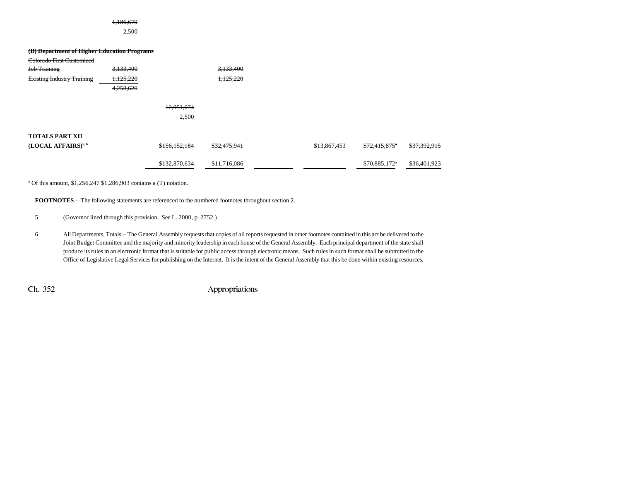# 1,186,679

2,500

| (B) Department of Higher Education Programs<br>Colorado First Customized<br>Job Training<br><b>Existing Industry Training</b> | 3,133,400<br>1,125,220<br>4,258,620 |                     | 3,133,400<br>1,125,220 |              |                           |              |
|-------------------------------------------------------------------------------------------------------------------------------|-------------------------------------|---------------------|------------------------|--------------|---------------------------|--------------|
|                                                                                                                               |                                     | 12,051,074<br>2,500 |                        |              |                           |              |
| <b>TOTALS PART XII</b><br>(LOCAL AFFAIRS) <sup>5,6</sup>                                                                      |                                     | \$156,152,184       | \$32,475,941           | \$13,867,453 | \$72,415,875"             | \$37,392,915 |
|                                                                                                                               |                                     | \$132,870,634       | \$11,716,086           |              | \$70,885,172 <sup>a</sup> | \$36,401,923 |

<sup>a</sup> Of this amount,  $\frac{$1,256,247}{$1,286,903}$  contains a (T) notation.

**FOOTNOTES** -- The following statements are referenced to the numbered footnotes throughout section 2.

5 (Governor lined through this provision. See L. 2000, p. 2752.)

6 All Departments, Totals -- The General Assembly requests that copies of all reports requested in other footnotes contained in this act be delivered to the Joint Budget Committee and the majority and minority leadership in each house of the General Assembly. Each principal department of the state shall produce its rules in an electronic format that is suitable for public access through electronic means. Such rules in such format shall be submitted to the Office of Legislative Legal Services for publishing on the Internet. It is the intent of the General Assembly that this be done within existing resources.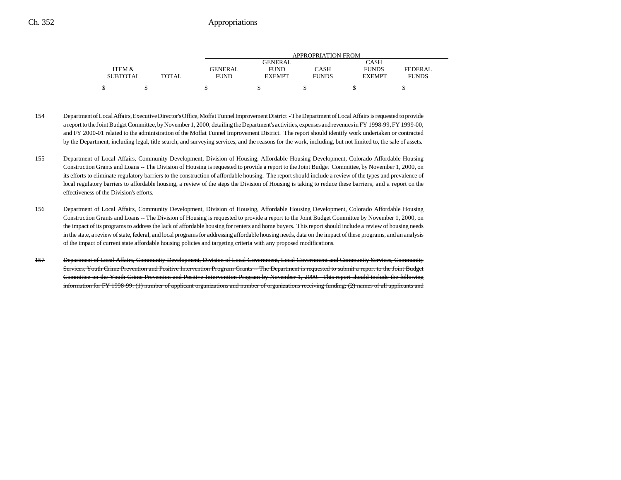|                 |              | APPROPRIATION FROM |               |              |               |              |  |  |
|-----------------|--------------|--------------------|---------------|--------------|---------------|--------------|--|--|
|                 |              |                    | GENERAL       |              | CASH          |              |  |  |
| ITEM &          |              | GENERAL            | <b>FUND</b>   | CASH         | <b>FUNDS</b>  | FEDERAL      |  |  |
| <b>SUBTOTAL</b> | <b>TOTAL</b> | <b>FUND</b>        | <b>EXEMPT</b> | <b>FUNDS</b> | <b>EXEMPT</b> | <b>FUNDS</b> |  |  |
|                 |              |                    |               |              |               |              |  |  |

- 154 Department of Local Affairs, Executive Director's Office, Moffat Tunnel Improvement District The Department of Local Affairs is requested to provide a report to the Joint Budget Committee, by November 1, 2000, detailing the Department's activities, expenses and revenues in FY 1998-99, FY 1999-00, and FY 2000-01 related to the administration of the Moffat Tunnel Improvement District. The report should identify work undertaken or contracted by the Department, including legal, title search, and surveying services, and the reasons for the work, including, but not limited to, the sale of assets.
- 155 Department of Local Affairs, Community Development, Division of Housing, Affordable Housing Development, Colorado Affordable Housing Construction Grants and Loans -- The Division of Housing is requested to provide a report to the Joint Budget Committee, by November 1, 2000, on its efforts to eliminate regulatory barriers to the construction of affordable housing. The report should include a review of the types and prevalence of local regulatory barriers to affordable housing, a review of the steps the Division of Housing is taking to reduce these barriers, and a report on the effectiveness of the Division's efforts.
- 156 Department of Local Affairs, Community Development, Division of Housing, Affordable Housing Development, Colorado Affordable Housing Construction Grants and Loans -- The Division of Housing is requested to provide a report to the Joint Budget Committee by November 1, 2000, on the impact of its programs to address the lack of affordable housing for renters and home buyers. This report should include a review of housing needs in the state, a review of state, federal, and local programs for addressing affordable housing needs, data on the impact of these programs, and an analysis of the impact of current state affordable housing policies and targeting criteria with any proposed modifications.
- 157 Department of Local Affairs, Community Development, Division of Local Government, Local Government and Community Services, Community Services, Youth Crime Prevention and Positive Intervention Program Grants -- The Department is requested to submit a report to the Joint Budget Committee on the Youth Crime Prevention and Positive Intervention Program by November 1, 2000. This report should include the following information for FY 1998-99: (1) number of applicant organizations and number of organizations receiving funding; (2) names of all applicants and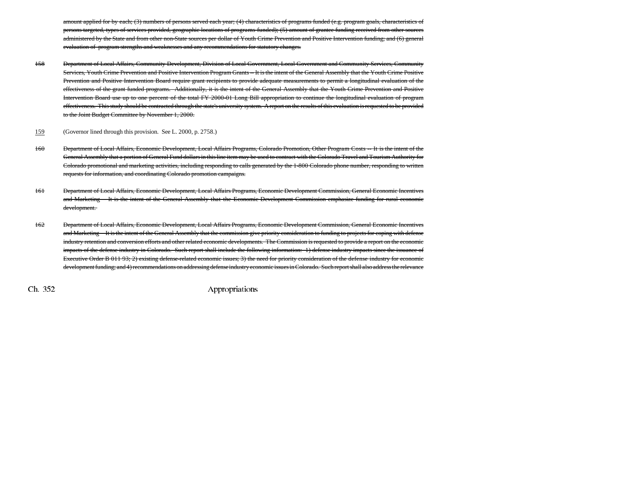amount applied for by each; (3) numbers of persons served each year; (4) characteristics of programs funded (e.g. program goals, characteristics of persons targeted, types of services provided, geographic locations of programs funded); (5) amount of grantee funding received from other sources administered by the State and from other non-State sources per dollar of Youth Crime Prevention and Positive Intervention funding; and (6) general evaluation of program strengths and weaknesses and any recommendations for statutory changes.

- 158 Department of Local Affairs, Community Development, Division of Local Government, Local Government and Community Services, Community Services, Youth Crime Prevention and Positive Intervention Program Grants -- It is the intent of the General Assembly that the Youth Crime Positive Prevention and Positive Intervention Board require grant recipients to provide adequate measurements to permit a longitudinal evaluation of the effectiveness of the grant funded programs. Additionally, it is the intent of the General Assembly that the Youth Crime Prevention and Positive Intervention Board use up to one percent of the total FY 2000-01 Long Bill appropriation to continue the longitudinal evaluation of program effectiveness. This study should be contracted through the state's university system. A report on the results of this evaluation is requested to be provided to the Joint Budget Committee by November 1, 2000.
- 159(Governor lined through this provision. See L. 2000, p. 2758.)
- 160 Department of Local Affairs, Economic Development, Local Affairs Programs, Colorado Promotion, Other Program Costs -- It is the intent of the General Assembly that a portion of General Fund dollars in this line item may be used to contract with the Colorado Travel and Tourism Authority for Colorado promotional and marketing activities, including responding to calls generated by the 1-800 Colorado phone number, responding to written requests for information, and coordinating Colorado promotion campaigns.
- 161 Department of Local Affairs, Economic Development, Local Affairs Programs, Economic Development Commission, General Economic Incentives and Marketing -- It is the intent of the General Assembly that the Economic Development Commission emphasize funding for rural economic development.
- 162 Department of Local Affairs, Economic Development, Local Affairs Programs, Economic Development Commission, General Economic Incentives and Marketing -- It is the intent of the General Assembly that the commission give priority consideration to funding to projects for coping with defense industry retention and conversion efforts and other related economic developments. The Commission is requested to provide a report on the economic impacts of the defense industry in Colorado. Such report shall include the following information: 1) defense industry impacts since the issuance of Executive Order B 011 93; 2) existing defense-related economic issues; 3) the need for priority consideration of the defense industry for economic development funding; and 4) recommendations on addressing defense industry economic issues in Colorado. Such report shall also address the relevance

 $\chi$  Ch. 352 Appropriations